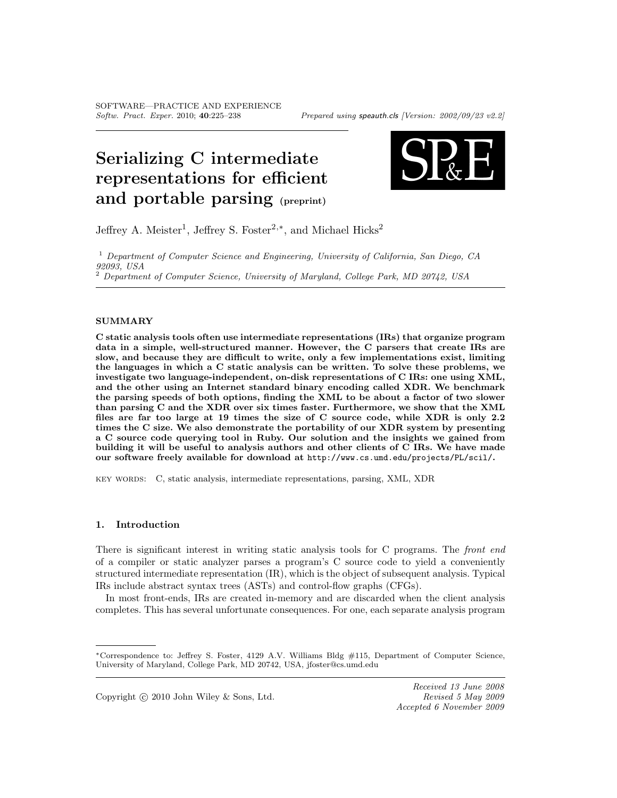# Serializing C intermediate representations for efficient and portable parsing (preprint)



Jeffrey A. Meister<sup>1</sup>, Jeffrey S. Foster<sup>2,\*</sup>, and Michael Hicks<sup>2</sup>

 $<sup>1</sup>$  Department of Computer Science and Engineering, University of California, San Diego, CA</sup> 92093, USA

<sup>2</sup> Department of Computer Science, University of Maryland, College Park, MD 20742, USA

#### SUMMARY

C static analysis tools often use intermediate representations (IRs) that organize program data in a simple, well-structured manner. However, the C parsers that create IRs are slow, and because they are difficult to write, only a few implementations exist, limiting the languages in which a C static analysis can be written. To solve these problems, we investigate two language-independent, on-disk representations of C IRs: one using XML, and the other using an Internet standard binary encoding called XDR. We benchmark the parsing speeds of both options, finding the XML to be about a factor of two slower than parsing C and the XDR over six times faster. Furthermore, we show that the XML files are far too large at 19 times the size of C source code, while XDR is only 2.2 times the C size. We also demonstrate the portability of our XDR system by presenting a C source code querying tool in Ruby. Our solution and the insights we gained from building it will be useful to analysis authors and other clients of C IRs. We have made our software freely available for download at http://www.cs.umd.edu/projects/PL/scil/.

key words: C, static analysis, intermediate representations, parsing, XML, XDR

#### 1. Introduction

There is significant interest in writing static analysis tools for C programs. The front end of a compiler or static analyzer parses a program's C source code to yield a conveniently structured intermediate representation (IR), which is the object of subsequent analysis. Typical IRs include abstract syntax trees (ASTs) and control-flow graphs (CFGs).

In most front-ends, IRs are created in-memory and are discarded when the client analysis completes. This has several unfortunate consequences. For one, each separate analysis program

<sup>∗</sup>Correspondence to: Jeffrey S. Foster, 4129 A.V. Williams Bldg #115, Department of Computer Science, University of Maryland, College Park, MD 20742, USA, jfoster@cs.umd.edu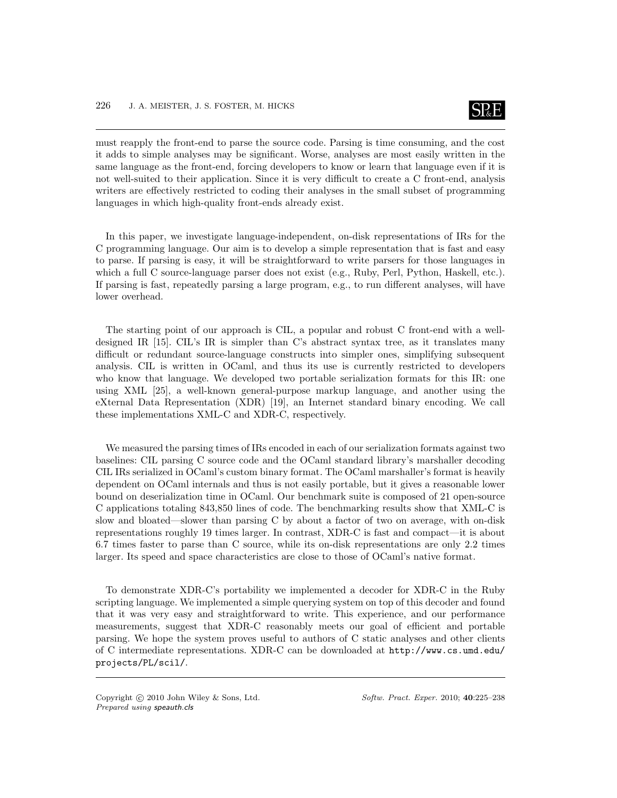

must reapply the front-end to parse the source code. Parsing is time consuming, and the cost it adds to simple analyses may be significant. Worse, analyses are most easily written in the same language as the front-end, forcing developers to know or learn that language even if it is not well-suited to their application. Since it is very difficult to create a C front-end, analysis writers are effectively restricted to coding their analyses in the small subset of programming languages in which high-quality front-ends already exist.

In this paper, we investigate language-independent, on-disk representations of IRs for the C programming language. Our aim is to develop a simple representation that is fast and easy to parse. If parsing is easy, it will be straightforward to write parsers for those languages in which a full C source-language parser does not exist (e.g., Ruby, Perl, Python, Haskell, etc.). If parsing is fast, repeatedly parsing a large program, e.g., to run different analyses, will have lower overhead.

The starting point of our approach is CIL, a popular and robust C front-end with a welldesigned IR [15]. CIL's IR is simpler than C's abstract syntax tree, as it translates many difficult or redundant source-language constructs into simpler ones, simplifying subsequent analysis. CIL is written in OCaml, and thus its use is currently restricted to developers who know that language. We developed two portable serialization formats for this IR: one using XML [25], a well-known general-purpose markup language, and another using the eXternal Data Representation (XDR) [19], an Internet standard binary encoding. We call these implementations XML-C and XDR-C, respectively.

We measured the parsing times of IRs encoded in each of our serialization formats against two baselines: CIL parsing C source code and the OCaml standard library's marshaller decoding CIL IRs serialized in OCaml's custom binary format. The OCaml marshaller's format is heavily dependent on OCaml internals and thus is not easily portable, but it gives a reasonable lower bound on deserialization time in OCaml. Our benchmark suite is composed of 21 open-source C applications totaling 843,850 lines of code. The benchmarking results show that XML-C is slow and bloated—slower than parsing C by about a factor of two on average, with on-disk representations roughly 19 times larger. In contrast, XDR-C is fast and compact—it is about 6.7 times faster to parse than C source, while its on-disk representations are only 2.2 times larger. Its speed and space characteristics are close to those of OCaml's native format.

To demonstrate XDR-C's portability we implemented a decoder for XDR-C in the Ruby scripting language. We implemented a simple querying system on top of this decoder and found that it was very easy and straightforward to write. This experience, and our performance measurements, suggest that XDR-C reasonably meets our goal of efficient and portable parsing. We hope the system proves useful to authors of C static analyses and other clients of C intermediate representations. XDR-C can be downloaded at http://www.cs.umd.edu/ projects/PL/scil/.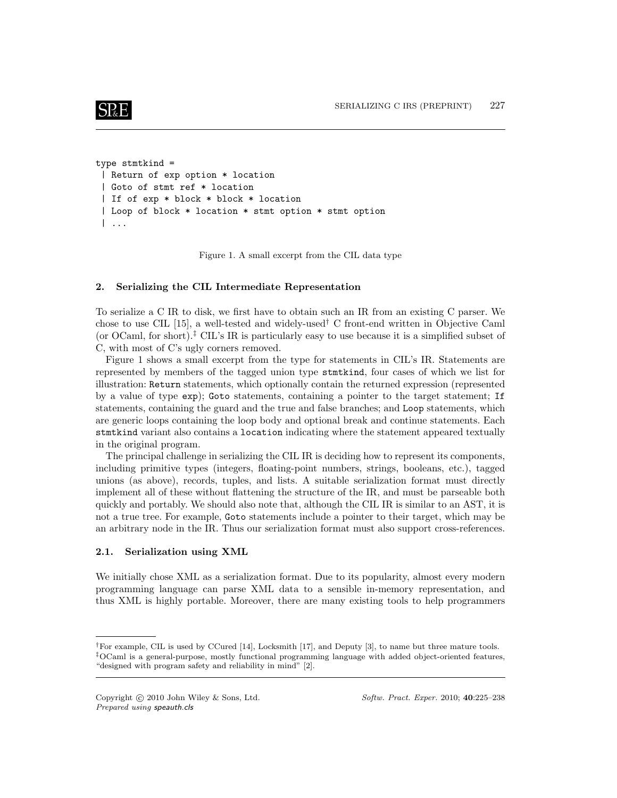### $SRE$

```
type stmtkind =
 | Return of exp option * location
 | Goto of stmt ref * location
 | If of exp * block * block * location
 | Loop of block * location * stmt option * stmt option
 | ...
```
Figure 1. A small excerpt from the CIL data type

#### 2. Serializing the CIL Intermediate Representation

To serialize a C IR to disk, we first have to obtain such an IR from an existing C parser. We chose to use CIL [15], a well-tested and widely-used<sup>†</sup> C front-end written in Objective Caml (or OCaml, for short).<sup>‡</sup> CIL's IR is particularly easy to use because it is a simplified subset of C, with most of C's ugly corners removed.

Figure 1 shows a small excerpt from the type for statements in CIL's IR. Statements are represented by members of the tagged union type stmtkind, four cases of which we list for illustration: Return statements, which optionally contain the returned expression (represented by a value of type exp); Goto statements, containing a pointer to the target statement; If statements, containing the guard and the true and false branches; and Loop statements, which are generic loops containing the loop body and optional break and continue statements. Each stmtkind variant also contains a location indicating where the statement appeared textually in the original program.

The principal challenge in serializing the CIL IR is deciding how to represent its components, including primitive types (integers, floating-point numbers, strings, booleans, etc.), tagged unions (as above), records, tuples, and lists. A suitable serialization format must directly implement all of these without flattening the structure of the IR, and must be parseable both quickly and portably. We should also note that, although the CIL IR is similar to an AST, it is not a true tree. For example, Goto statements include a pointer to their target, which may be an arbitrary node in the IR. Thus our serialization format must also support cross-references.

#### 2.1. Serialization using XML

We initially chose XML as a serialization format. Due to its popularity, almost every modern programming language can parse XML data to a sensible in-memory representation, and thus XML is highly portable. Moreover, there are many existing tools to help programmers

<sup>†</sup>For example, CIL is used by CCured [14], Locksmith [17], and Deputy [3], to name but three mature tools. ‡OCaml is a general-purpose, mostly functional programming language with added object-oriented features, "designed with program safety and reliability in mind" [2].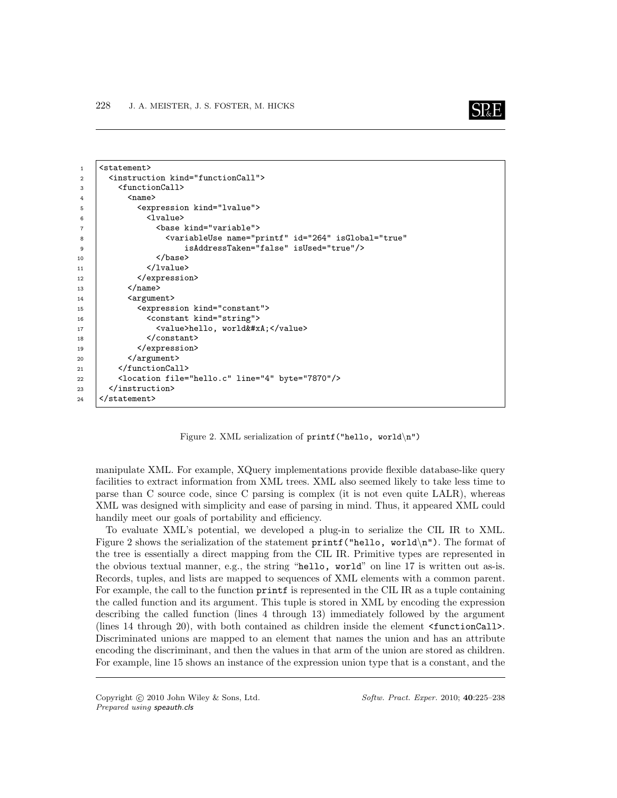

```
1 | <statement>
2 <instruction kind="functionCall">
3 <functionCall>
4 <name>
5 <expression kind="lvalue">
6 <lvalue>
7 <base kind="variable">
8 <variableUse name="printf" id="264" isGlobal="true"
9 isAddressTaken="false" isUsed="true"/>
10 | </base>
11 | \langle/lvalue>
12 | </expression>
13 \langle /name \rangle14 | <argument>
15 | <expression kind="constant">
16 | <constant kind="string">
17 | <value>hello, world&#xA;</value>
18 </constant>
19 </expression>
20 | </argument>
21 | \checkmark / function Call >
22 <location file="hello.c" line="4" byte="7870"/>
23 | \checkmark /instruction>
24 </statement>
```
Figure 2. XML serialization of printf("hello, world\n")

manipulate XML. For example, XQuery implementations provide flexible database-like query facilities to extract information from XML trees. XML also seemed likely to take less time to parse than C source code, since C parsing is complex (it is not even quite LALR), whereas XML was designed with simplicity and ease of parsing in mind. Thus, it appeared XML could handily meet our goals of portability and efficiency.

To evaluate XML's potential, we developed a plug-in to serialize the CIL IR to XML. Figure 2 shows the serialization of the statement  $\text{print}$  ("hello, world\n"). The format of the tree is essentially a direct mapping from the CIL IR. Primitive types are represented in the obvious textual manner, e.g., the string "hello, world" on line 17 is written out as-is. Records, tuples, and lists are mapped to sequences of XML elements with a common parent. For example, the call to the function printf is represented in the CIL IR as a tuple containing the called function and its argument. This tuple is stored in XML by encoding the expression describing the called function (lines 4 through 13) immediately followed by the argument (lines 14 through 20), with both contained as children inside the element <functionCall>. Discriminated unions are mapped to an element that names the union and has an attribute encoding the discriminant, and then the values in that arm of the union are stored as children. For example, line 15 shows an instance of the expression union type that is a constant, and the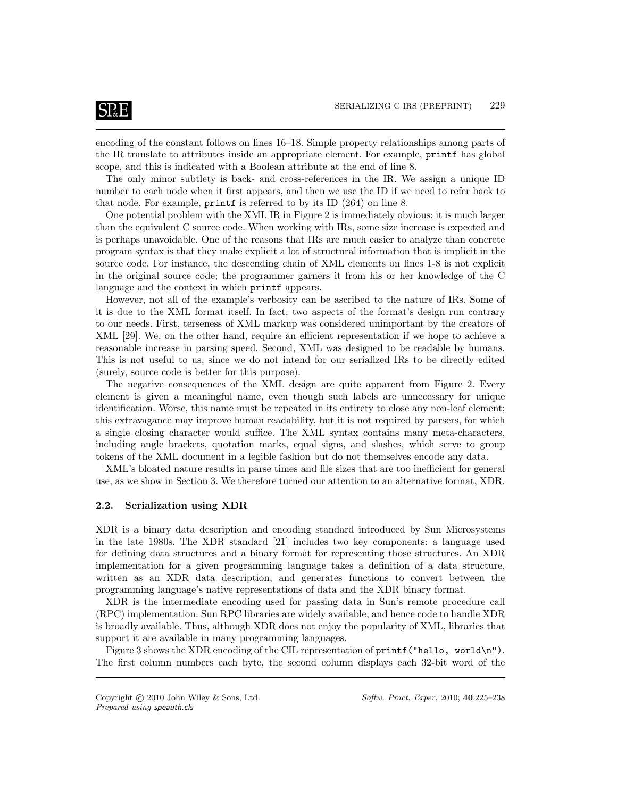### **SP**&E

encoding of the constant follows on lines 16–18. Simple property relationships among parts of the IR translate to attributes inside an appropriate element. For example, printf has global scope, and this is indicated with a Boolean attribute at the end of line 8.

The only minor subtlety is back- and cross-references in the IR. We assign a unique ID number to each node when it first appears, and then we use the ID if we need to refer back to that node. For example, printf is referred to by its ID (264) on line 8.

One potential problem with the XML IR in Figure 2 is immediately obvious: it is much larger than the equivalent C source code. When working with IRs, some size increase is expected and is perhaps unavoidable. One of the reasons that IRs are much easier to analyze than concrete program syntax is that they make explicit a lot of structural information that is implicit in the source code. For instance, the descending chain of XML elements on lines 1-8 is not explicit in the original source code; the programmer garners it from his or her knowledge of the C language and the context in which printf appears.

However, not all of the example's verbosity can be ascribed to the nature of IRs. Some of it is due to the XML format itself. In fact, two aspects of the format's design run contrary to our needs. First, terseness of XML markup was considered unimportant by the creators of XML [29]. We, on the other hand, require an efficient representation if we hope to achieve a reasonable increase in parsing speed. Second, XML was designed to be readable by humans. This is not useful to us, since we do not intend for our serialized IRs to be directly edited (surely, source code is better for this purpose).

The negative consequences of the XML design are quite apparent from Figure 2. Every element is given a meaningful name, even though such labels are unnecessary for unique identification. Worse, this name must be repeated in its entirety to close any non-leaf element; this extravagance may improve human readability, but it is not required by parsers, for which a single closing character would suffice. The XML syntax contains many meta-characters, including angle brackets, quotation marks, equal signs, and slashes, which serve to group tokens of the XML document in a legible fashion but do not themselves encode any data.

XML's bloated nature results in parse times and file sizes that are too inefficient for general use, as we show in Section 3. We therefore turned our attention to an alternative format, XDR.

#### 2.2. Serialization using XDR

XDR is a binary data description and encoding standard introduced by Sun Microsystems in the late 1980s. The XDR standard [21] includes two key components: a language used for defining data structures and a binary format for representing those structures. An XDR implementation for a given programming language takes a definition of a data structure, written as an XDR data description, and generates functions to convert between the programming language's native representations of data and the XDR binary format.

XDR is the intermediate encoding used for passing data in Sun's remote procedure call (RPC) implementation. Sun RPC libraries are widely available, and hence code to handle XDR is broadly available. Thus, although XDR does not enjoy the popularity of XML, libraries that support it are available in many programming languages.

Figure 3 shows the XDR encoding of the CIL representation of printf ("hello, world\n"). The first column numbers each byte, the second column displays each 32-bit word of the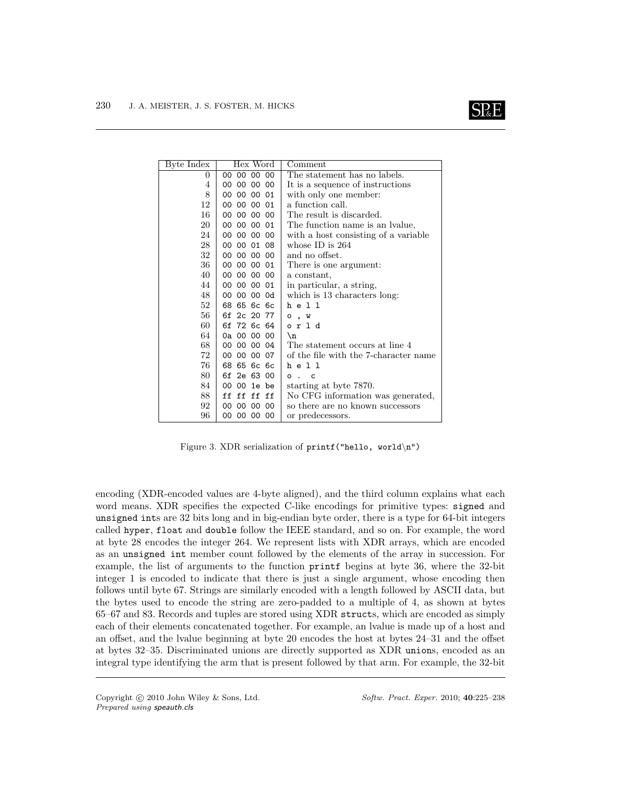

| Byte Index | Hex Word       | Comment                               |
|------------|----------------|---------------------------------------|
| $\Omega$   | 00 00 00<br>00 | The statement has no labels.          |
| 4          | 00 00 00 00    | It is a sequence of instructions      |
| 8          | 00 00 00 01    | with only one member:                 |
| 12         | 00 00 00 01    | a function call.                      |
| 16         | 00 00 00 00    | The result is discarded.              |
| 20         | 00 00 00 01    | The function name is an Ivalue,       |
| 24         | 00 00 00 00    | with a host consisting of a variable  |
| 28         | 00 00 01 08    | whose ID is $264$                     |
| 32         | 00 00 00 00    | and no offset.                        |
| 36         | 00 00 00 01    | There is one argument:                |
| 40         | 00 00 00 00    | a constant,                           |
| 44         | 00 00 00 01    | in particular, a string,              |
| 48         | 00 00 00 0d    | which is 13 characters long:          |
| $52\,$     | 68 65 6c 6c    | h e 1 1                               |
| 56         | 6f 2c 20 77    | $\circ$ , $\vee$                      |
| 60         | 6f 72 6c 64    | orld                                  |
| 64         | 0a 00 00 00    | \n                                    |
| 68         | 00 00 00 04    | The statement occurs at line 4        |
| 72         | 00 00 00 07    | of the file with the 7-character name |
| 76         | 68 65 6c 6c    | h e 1 1                               |
| 80         | 6f 2e 63 00    | $\circ$ .<br>C                        |
| 84         | 00 00 1e be    | starting at byte 7870.                |
| 88         | ff ff ff ff    | No CFG information was generated,     |
| 92         | 00 00 00<br>00 | so there are no known successors      |
| 96         | 00 00 00 00    | or predecessors.                      |

Figure 3. XDR serialization of printf ("hello, world\n")

encoding (XDR-encoded values are 4-byte aligned), and the third column explains what each word means. XDR specifies the expected C-like encodings for primitive types: signed and unsigned ints are 32 bits long and in big-endian byte order, there is a type for 64-bit integers called hyper, float and double follow the IEEE standard, and so on. For example, the word at byte 28 encodes the integer 264. We represent lists with XDR arrays, which are encoded as an unsigned int member count followed by the elements of the array in succession. For example, the list of arguments to the function printf begins at byte 36, where the 32-bit integer 1 is encoded to indicate that there is just a single argument, whose encoding then follows until byte 67. Strings are similarly encoded with a length followed by ASCII data, but the bytes used to encode the string are zero-padded to a multiple of 4, as shown at bytes 65–67 and 83. Records and tuples are stored using XDR structs, which are encoded as simply each of their elements concatenated together. For example, an lvalue is made up of a host and an offset, and the lvalue beginning at byte 20 encodes the host at bytes 24–31 and the offset at bytes 32–35. Discriminated unions are directly supported as XDR unions, encoded as an integral type identifying the arm that is present followed by that arm. For example, the 32-bit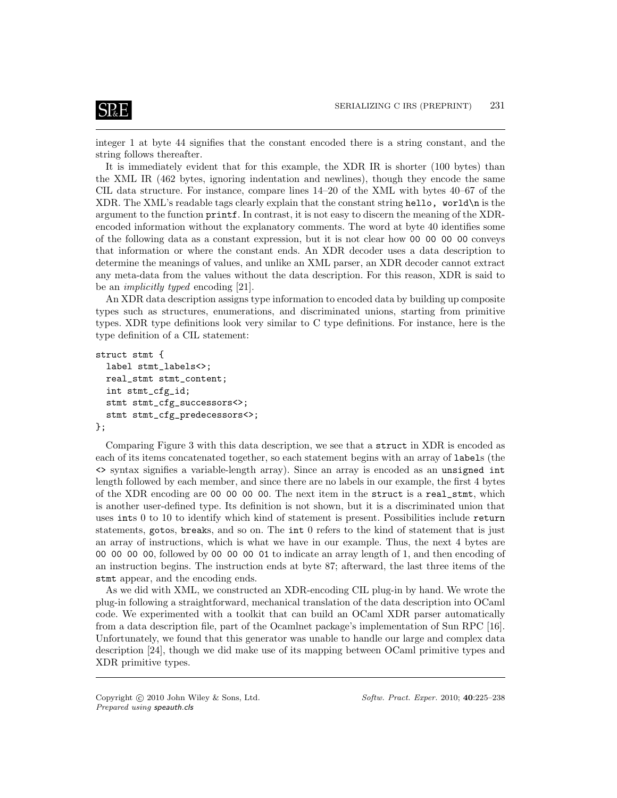integer 1 at byte 44 signifies that the constant encoded there is a string constant, and the string follows thereafter.

It is immediately evident that for this example, the XDR IR is shorter (100 bytes) than the XML IR (462 bytes, ignoring indentation and newlines), though they encode the same CIL data structure. For instance, compare lines 14–20 of the XML with bytes 40–67 of the XDR. The XML's readable tags clearly explain that the constant string hello, world\n is the argument to the function printf. In contrast, it is not easy to discern the meaning of the XDRencoded information without the explanatory comments. The word at byte 40 identifies some of the following data as a constant expression, but it is not clear how 00 00 00 00 conveys that information or where the constant ends. An XDR decoder uses a data description to determine the meanings of values, and unlike an XML parser, an XDR decoder cannot extract any meta-data from the values without the data description. For this reason, XDR is said to be an implicitly typed encoding [21].

An XDR data description assigns type information to encoded data by building up composite types such as structures, enumerations, and discriminated unions, starting from primitive types. XDR type definitions look very similar to C type definitions. For instance, here is the type definition of a CIL statement:

```
struct stmt {
  label stmt_labels<>;
  real_stmt stmt_content;
  int stmt_cfg_id;
  stmt stmt_cfg_successors<>;
  stmt stmt_cfg_predecessors<>;
};
```
Comparing Figure 3 with this data description, we see that a struct in XDR is encoded as each of its items concatenated together, so each statement begins with an array of labels (the <> syntax signifies a variable-length array). Since an array is encoded as an unsigned int length followed by each member, and since there are no labels in our example, the first 4 bytes of the XDR encoding are 00 00 00 00. The next item in the struct is a real\_stmt, which is another user-defined type. Its definition is not shown, but it is a discriminated union that uses ints 0 to 10 to identify which kind of statement is present. Possibilities include return statements, gotos, breaks, and so on. The int 0 refers to the kind of statement that is just an array of instructions, which is what we have in our example. Thus, the next 4 bytes are 00 00 00 00, followed by 00 00 00 01 to indicate an array length of 1, and then encoding of an instruction begins. The instruction ends at byte 87; afterward, the last three items of the stmt appear, and the encoding ends.

As we did with XML, we constructed an XDR-encoding CIL plug-in by hand. We wrote the plug-in following a straightforward, mechanical translation of the data description into OCaml code. We experimented with a toolkit that can build an OCaml XDR parser automatically from a data description file, part of the Ocamlnet package's implementation of Sun RPC [16]. Unfortunately, we found that this generator was unable to handle our large and complex data description [24], though we did make use of its mapping between OCaml primitive types and XDR primitive types.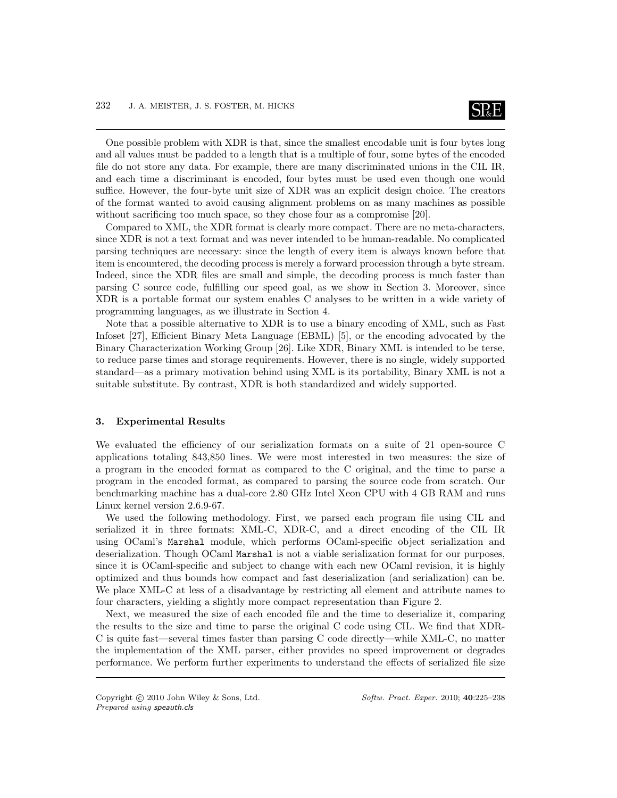

One possible problem with XDR is that, since the smallest encodable unit is four bytes long and all values must be padded to a length that is a multiple of four, some bytes of the encoded file do not store any data. For example, there are many discriminated unions in the CIL IR, and each time a discriminant is encoded, four bytes must be used even though one would suffice. However, the four-byte unit size of XDR was an explicit design choice. The creators of the format wanted to avoid causing alignment problems on as many machines as possible without sacrificing too much space, so they chose four as a compromise [20].

Compared to XML, the XDR format is clearly more compact. There are no meta-characters, since XDR is not a text format and was never intended to be human-readable. No complicated parsing techniques are necessary: since the length of every item is always known before that item is encountered, the decoding process is merely a forward procession through a byte stream. Indeed, since the XDR files are small and simple, the decoding process is much faster than parsing C source code, fulfilling our speed goal, as we show in Section 3. Moreover, since XDR is a portable format our system enables C analyses to be written in a wide variety of programming languages, as we illustrate in Section 4.

Note that a possible alternative to XDR is to use a binary encoding of XML, such as Fast Infoset [27], Efficient Binary Meta Language (EBML) [5], or the encoding advocated by the Binary Characterization Working Group [26]. Like XDR, Binary XML is intended to be terse, to reduce parse times and storage requirements. However, there is no single, widely supported standard—as a primary motivation behind using XML is its portability, Binary XML is not a suitable substitute. By contrast, XDR is both standardized and widely supported.

#### 3. Experimental Results

We evaluated the efficiency of our serialization formats on a suite of 21 open-source C applications totaling 843,850 lines. We were most interested in two measures: the size of a program in the encoded format as compared to the C original, and the time to parse a program in the encoded format, as compared to parsing the source code from scratch. Our benchmarking machine has a dual-core 2.80 GHz Intel Xeon CPU with 4 GB RAM and runs Linux kernel version 2.6.9-67.

We used the following methodology. First, we parsed each program file using CIL and serialized it in three formats: XML-C, XDR-C, and a direct encoding of the CIL IR using OCaml's Marshal module, which performs OCaml-specific object serialization and deserialization. Though OCaml Marshal is not a viable serialization format for our purposes, since it is OCaml-specific and subject to change with each new OCaml revision, it is highly optimized and thus bounds how compact and fast deserialization (and serialization) can be. We place XML-C at less of a disadvantage by restricting all element and attribute names to four characters, yielding a slightly more compact representation than Figure 2.

Next, we measured the size of each encoded file and the time to deserialize it, comparing the results to the size and time to parse the original C code using CIL. We find that XDR-C is quite fast—several times faster than parsing C code directly—while XML-C, no matter the implementation of the XML parser, either provides no speed improvement or degrades performance. We perform further experiments to understand the effects of serialized file size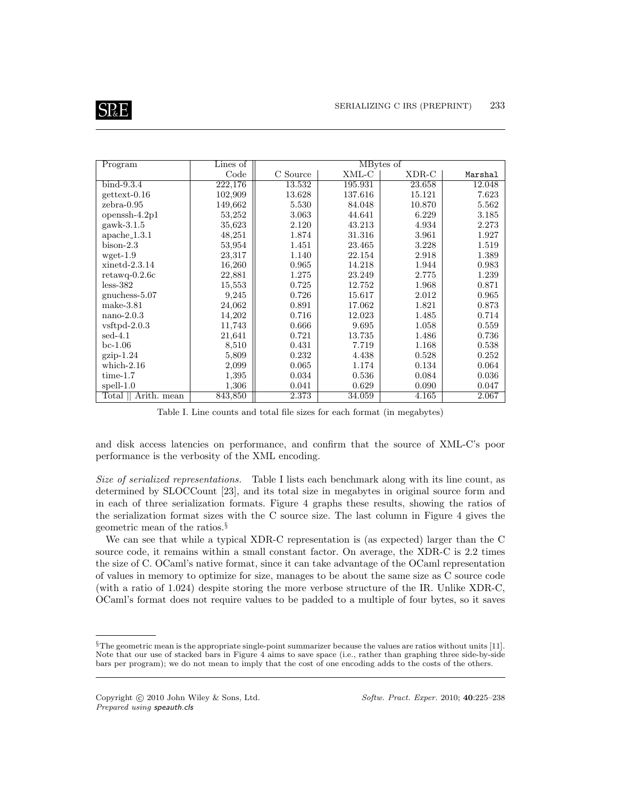| Program                   | Lines of |                    |         | MBytes of |         |
|---------------------------|----------|--------------------|---------|-----------|---------|
|                           | Code     | $\mathrm C$ Source | XML-C   | XDR-C     | Marshal |
| $bind-9.3.4$              | 222,176  | 13.532             | 195.931 | 23.658    | 12.048  |
| $gettext-0.16$            | 102,909  | 13.628             | 137.616 | 15.121    | 7.623   |
| $zebra-0.95$              | 149,662  | 5.530              | 84.048  | 10.870    | 5.562   |
| openssh- $4.2p1$          | 53,252   | 3.063              | 44.641  | 6.229     | 3.185   |
| $gawk-3.1.5$              | 35,623   | 2.120              | 43.213  | 4.934     | 2.273   |
| $apache\_1.3.1$           | 48,251   | 1.874              | 31.316  | 3.961     | 1.927   |
| $bison-2.3$               | 53,954   | 1.451              | 23.465  | 3.228     | 1.519   |
| $wget-1.9$                | 23,317   | 1.140              | 22.154  | 2.918     | 1.389   |
| $xinetd-2.3.14$           | 16,260   | 0.965              | 14.218  | 1.944     | 0.983   |
| $retawq-0.2.6c$           | 22,881   | 1.275              | 23.249  | 2.775     | 1.239   |
| $less-382$                | 15,553   | 0.725              | 12.752  | 1.968     | 0.871   |
| $gnuchess-5.07$           | 9,245    | 0.726              | 15.617  | 2.012     | 0.965   |
| $make-3.81$               | 24,062   | 0.891              | 17.062  | 1.821     | 0.873   |
| $nano-2.0.3$              | 14,202   | 0.716              | 12.023  | 1.485     | 0.714   |
| $v$ sftpd-2.0.3           | 11,743   | 0.666              | 9.695   | 1.058     | 0.559   |
| $\mathrm{sed}\text{-}4.1$ | 21,641   | 0.721              | 13.735  | 1.486     | 0.736   |
| $bc-1.06$                 | 8,510    | 0.431              | 7.719   | 1.168     | 0.538   |
| $gzip-1.24$               | 5,809    | 0.232              | 4.438   | 0.528     | 0.252   |
| which- $2.16$             | 2,099    | 0.065              | 1.174   | 0.134     | 0.064   |
| $time-1.7$                | 1,395    | 0.034              | 0.536   | 0.084     | 0.036   |
| $spell-1.0$               | 1,306    | 0.041              | 0.629   | 0.090     | 0.047   |
| Arith. mean<br>Total      | 843,850  | 2.373              | 34.059  | 4.165     | 2.067   |

Table I. Line counts and total file sizes for each format (in megabytes)

and disk access latencies on performance, and confirm that the source of XML-C's poor performance is the verbosity of the XML encoding.

Size of serialized representations. Table I lists each benchmark along with its line count, as determined by SLOCCount [23], and its total size in megabytes in original source form and in each of three serialization formats. Figure 4 graphs these results, showing the ratios of the serialization format sizes with the C source size. The last column in Figure 4 gives the geometric mean of the ratios.§

We can see that while a typical XDR-C representation is (as expected) larger than the C source code, it remains within a small constant factor. On average, the XDR-C is 2.2 times the size of C. OCaml's native format, since it can take advantage of the OCaml representation of values in memory to optimize for size, manages to be about the same size as C source code (with a ratio of 1.024) despite storing the more verbose structure of the IR. Unlike XDR-C, OCaml's format does not require values to be padded to a multiple of four bytes, so it saves

<sup>§</sup>The geometric mean is the appropriate single-point summarizer because the values are ratios without units [11]. Note that our use of stacked bars in Figure 4 aims to save space (i.e., rather than graphing three side-by-side bars per program); we do not mean to imply that the cost of one encoding adds to the costs of the others.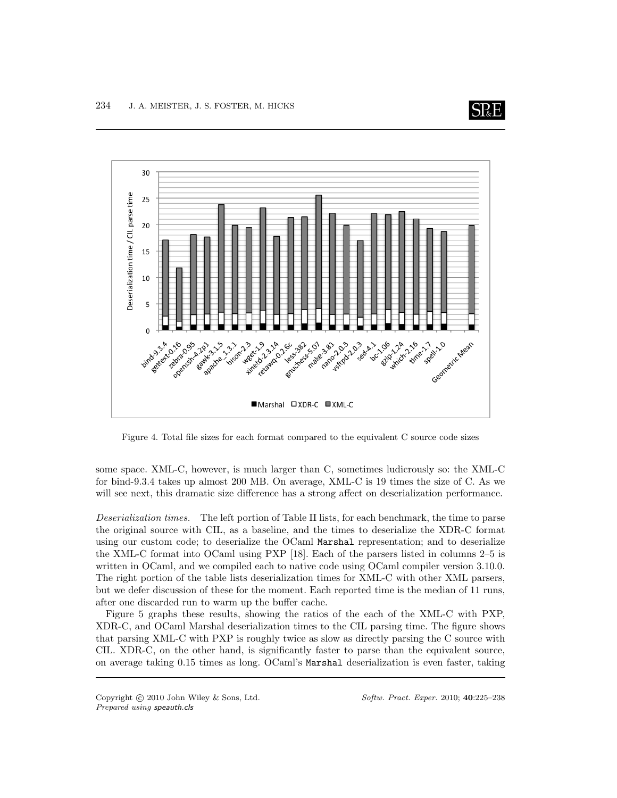



Figure 4. Total file sizes for each format compared to the equivalent C source code sizes

some space. XML-C, however, is much larger than C, sometimes ludicrously so: the XML-C for bind-9.3.4 takes up almost 200 MB. On average, XML-C is 19 times the size of C. As we will see next, this dramatic size difference has a strong affect on deserialization performance.

Deserialization times. The left portion of Table II lists, for each benchmark, the time to parse the original source with CIL, as a baseline, and the times to deserialize the XDR-C format using our custom code; to deserialize the OCaml Marshal representation; and to deserialize the XML-C format into OCaml using PXP [18]. Each of the parsers listed in columns 2–5 is written in OCaml, and we compiled each to native code using OCaml compiler version 3.10.0. The right portion of the table lists deserialization times for XML-C with other XML parsers, but we defer discussion of these for the moment. Each reported time is the median of 11 runs, after one discarded run to warm up the buffer cache.

Figure 5 graphs these results, showing the ratios of the each of the XML-C with PXP, XDR-C, and OCaml Marshal deserialization times to the CIL parsing time. The figure shows that parsing XML-C with PXP is roughly twice as slow as directly parsing the C source with CIL. XDR-C, on the other hand, is significantly faster to parse than the equivalent source, on average taking 0.15 times as long. OCaml's Marshal deserialization is even faster, taking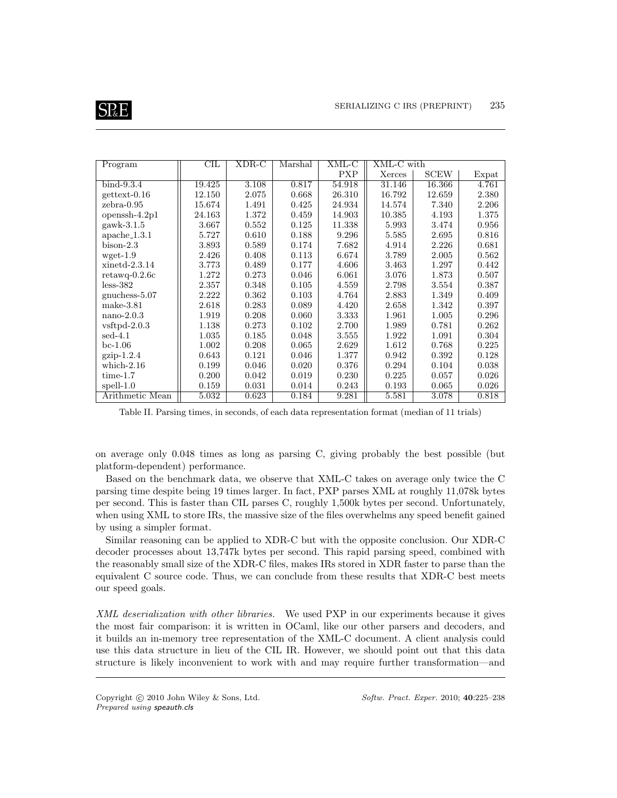

| Program                   | $_{\rm CIL}$ | XDR-C | Marshal | XML-C      | XML-C with |             |       |
|---------------------------|--------------|-------|---------|------------|------------|-------------|-------|
|                           |              |       |         | <b>PXP</b> | Xerces     | <b>SCEW</b> | Expat |
| $bind-9.3.4$              | 19.425       | 3.108 | 0.817   | 54.918     | 31.146     | 16.366      | 4.761 |
| $gettext-0.16$            | 12.150       | 2.075 | 0.668   | 26.310     | 16.792     | 12.659      | 2.380 |
| $zebra-0.95$              | 15.674       | 1.491 | 0.425   | 24.934     | 14.574     | 7.340       | 2.206 |
| openssh- $4.2p1$          | 24.163       | 1.372 | 0.459   | 14.903     | 10.385     | 4.193       | 1.375 |
| $gawk-3.1.5$              | 3.667        | 0.552 | 0.125   | 11.338     | 5.993      | 3.474       | 0.956 |
| $apache_1.3.1$            | 5.727        | 0.610 | 0.188   | 9.296      | 5.585      | 2.695       | 0.816 |
| $bison-2.3$               | 3.893        | 0.589 | 0.174   | 7.682      | 4.914      | 2.226       | 0.681 |
| $wget-1.9$                | 2.426        | 0.408 | 0.113   | 6.674      | 3.789      | 2.005       | 0.562 |
| $xinetd-2.3.14$           | 3.773        | 0.489 | 0.177   | 4.606      | 3.463      | 1.297       | 0.442 |
| $retawq-0.2.6c$           | 1.272        | 0.273 | 0.046   | 6.061      | 3.076      | 1.873       | 0.507 |
| $less-382$                | 2.357        | 0.348 | 0.105   | 4.559      | 2.798      | 3.554       | 0.387 |
| gnuchess- $5.07$          | 2.222        | 0.362 | 0.103   | 4.764      | 2.883      | 1.349       | 0.409 |
| $make-3.81$               | 2.618        | 0.283 | 0.089   | 4.420      | 2.658      | 1.342       | 0.397 |
| $nano-2.0.3$              | 1.919        | 0.208 | 0.060   | 3.333      | 1.961      | 1.005       | 0.296 |
| $v$ sftpd-2.0.3           | 1.138        | 0.273 | 0.102   | 2.700      | 1.989      | 0.781       | 0.262 |
| $\mathrm{sed}\text{-}4.1$ | 1.035        | 0.185 | 0.048   | 3.555      | 1.922      | 1.091       | 0.304 |
| $bc-1.06$                 | 1.002        | 0.208 | 0.065   | 2.629      | 1.612      | 0.768       | 0.225 |
| $gzip-1.2.4$              | 0.643        | 0.121 | 0.046   | 1.377      | 0.942      | 0.392       | 0.128 |
| which- $2.16$             | 0.199        | 0.046 | 0.020   | 0.376      | 0.294      | 0.104       | 0.038 |
| $time-1.7$                | 0.200        | 0.042 | 0.019   | 0.230      | 0.225      | 0.057       | 0.026 |
| $spell-1.0$               | 0.159        | 0.031 | 0.014   | 0.243      | 0.193      | 0.065       | 0.026 |
| Arithmetic Mean           | 5.032        | 0.623 | 0.184   | 9.281      | 5.581      | 3.078       | 0.818 |

Table II. Parsing times, in seconds, of each data representation format (median of 11 trials)

on average only 0.048 times as long as parsing C, giving probably the best possible (but platform-dependent) performance.

Based on the benchmark data, we observe that XML-C takes on average only twice the C parsing time despite being 19 times larger. In fact, PXP parses XML at roughly 11,078k bytes per second. This is faster than CIL parses C, roughly 1,500k bytes per second. Unfortunately, when using XML to store IRs, the massive size of the files overwhelms any speed benefit gained by using a simpler format.

Similar reasoning can be applied to XDR-C but with the opposite conclusion. Our XDR-C decoder processes about 13,747k bytes per second. This rapid parsing speed, combined with the reasonably small size of the XDR-C files, makes IRs stored in XDR faster to parse than the equivalent C source code. Thus, we can conclude from these results that XDR-C best meets our speed goals.

XML deserialization with other libraries. We used PXP in our experiments because it gives the most fair comparison: it is written in OCaml, like our other parsers and decoders, and it builds an in-memory tree representation of the XML-C document. A client analysis could use this data structure in lieu of the CIL IR. However, we should point out that this data structure is likely inconvenient to work with and may require further transformation—and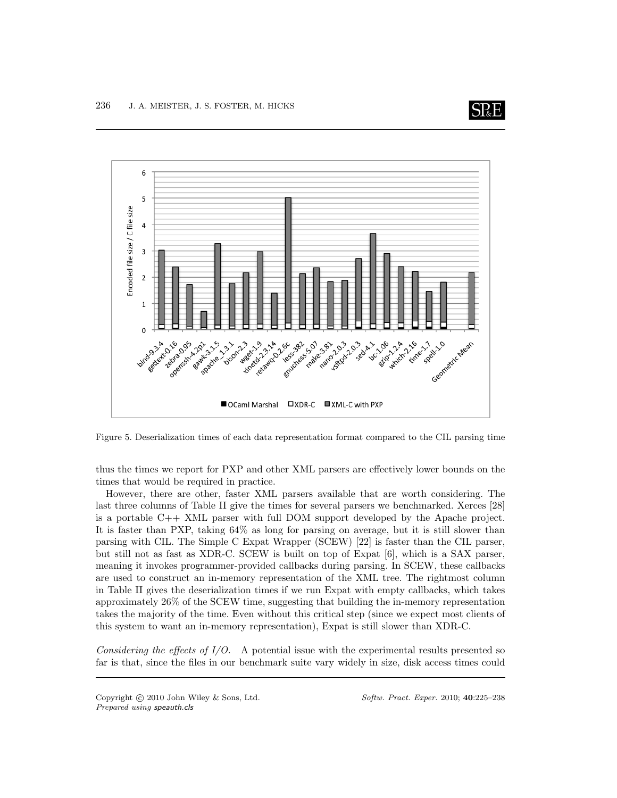



Figure 5. Deserialization times of each data representation format compared to the CIL parsing time

thus the times we report for PXP and other XML parsers are effectively lower bounds on the times that would be required in practice.

However, there are other, faster XML parsers available that are worth considering. The last three columns of Table II give the times for several parsers we benchmarked. Xerces [28] is a portable  $C_{++}$  XML parser with full DOM support developed by the Apache project. It is faster than PXP, taking 64% as long for parsing on average, but it is still slower than parsing with CIL. The Simple C Expat Wrapper (SCEW) [22] is faster than the CIL parser, but still not as fast as XDR-C. SCEW is built on top of Expat [6], which is a SAX parser, meaning it invokes programmer-provided callbacks during parsing. In SCEW, these callbacks are used to construct an in-memory representation of the XML tree. The rightmost column in Table II gives the deserialization times if we run Expat with empty callbacks, which takes approximately 26% of the SCEW time, suggesting that building the in-memory representation takes the majority of the time. Even without this critical step (since we expect most clients of this system to want an in-memory representation), Expat is still slower than XDR-C.

Considering the effects of  $I/O$ . A potential issue with the experimental results presented so far is that, since the files in our benchmark suite vary widely in size, disk access times could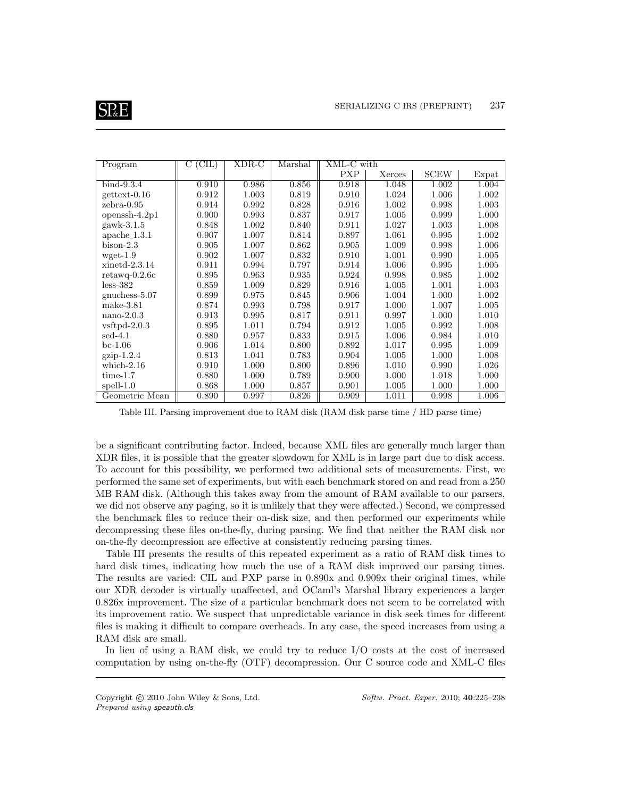

| Program                   | (CIL)<br>С | XDR-C | Marshal | $XML-C$ with |        |             |       |
|---------------------------|------------|-------|---------|--------------|--------|-------------|-------|
|                           |            |       |         | <b>PXP</b>   | Xerces | <b>SCEW</b> | Expat |
| $bind-9.3.4$              | 0.910      | 0.986 | 0.856   | 0.918        | 1.048  | 1.002       | 1.004 |
| $gettext-0.16$            | 0.912      | 1.003 | 0.819   | 0.910        | 1.024  | 1.006       | 1.002 |
| $zebra-0.95$              | 0.914      | 0.992 | 0.828   | 0.916        | 1.002  | 0.998       | 1.003 |
| openssh- $4.2p1$          | 0.900      | 0.993 | 0.837   | 0.917        | 1.005  | 0.999       | 1.000 |
| $gawk-3.1.5$              | 0.848      | 1.002 | 0.840   | 0.911        | 1.027  | 1.003       | 1.008 |
| $apache\_1.3.1$           | 0.907      | 1.007 | 0.814   | 0.897        | 1.061  | 0.995       | 1.002 |
| $bison-2.3$               | 0.905      | 1.007 | 0.862   | 0.905        | 1.009  | 0.998       | 1.006 |
| $wget-1.9$                | 0.902      | 1.007 | 0.832   | 0.910        | 1.001  | 0.990       | 1.005 |
| $xinetd-2.3.14$           | 0.911      | 0.994 | 0.797   | 0.914        | 1.006  | 0.995       | 1.005 |
| $retawq-0.2.6c$           | 0.895      | 0.963 | 0.935   | 0.924        | 0.998  | 0.985       | 1.002 |
| $less-382$                | 0.859      | 1.009 | 0.829   | 0.916        | 1.005  | 1.001       | 1.003 |
| $gnuchess-5.07$           | 0.899      | 0.975 | 0.845   | 0.906        | 1.004  | 1.000       | 1.002 |
| $make-3.81$               | 0.874      | 0.993 | 0.798   | 0.917        | 1.000  | 1.007       | 1.005 |
| $nano-2.0.3$              | 0.913      | 0.995 | 0.817   | 0.911        | 0.997  | 1.000       | 1.010 |
| $v$ sftpd-2.0.3           | 0.895      | 1.011 | 0.794   | 0.912        | 1.005  | 0.992       | 1.008 |
| $\mathrm{sed}\text{-}4.1$ | 0.880      | 0.957 | 0.833   | 0.915        | 1.006  | 0.984       | 1.010 |
| $bc-1.06$                 | 0.906      | 1.014 | 0.800   | 0.892        | 1.017  | 0.995       | 1.009 |
| $gzip-1.2.4$              | 0.813      | 1.041 | 0.783   | 0.904        | 1.005  | 1.000       | 1.008 |
| which- $2.16$             | 0.910      | 1.000 | 0.800   | 0.896        | 1.010  | 0.990       | 1.026 |
| $time-1.7$                | 0.880      | 1.000 | 0.789   | 0.900        | 1.000  | 1.018       | 1.000 |
| $spell-1.0$               | 0.868      | 1.000 | 0.857   | 0.901        | 1.005  | 1.000       | 1.000 |
| Geometric Mean            | 0.890      | 0.997 | 0.826   | 0.909        | 1.011  | 0.998       | 1.006 |

Table III. Parsing improvement due to RAM disk (RAM disk parse time / HD parse time)

be a significant contributing factor. Indeed, because XML files are generally much larger than XDR files, it is possible that the greater slowdown for XML is in large part due to disk access. To account for this possibility, we performed two additional sets of measurements. First, we performed the same set of experiments, but with each benchmark stored on and read from a 250 MB RAM disk. (Although this takes away from the amount of RAM available to our parsers, we did not observe any paging, so it is unlikely that they were affected.) Second, we compressed the benchmark files to reduce their on-disk size, and then performed our experiments while decompressing these files on-the-fly, during parsing. We find that neither the RAM disk nor on-the-fly decompression are effective at consistently reducing parsing times.

Table III presents the results of this repeated experiment as a ratio of RAM disk times to hard disk times, indicating how much the use of a RAM disk improved our parsing times. The results are varied: CIL and PXP parse in 0.890x and 0.909x their original times, while our XDR decoder is virtually unaffected, and OCaml's Marshal library experiences a larger 0.826x improvement. The size of a particular benchmark does not seem to be correlated with its improvement ratio. We suspect that unpredictable variance in disk seek times for different files is making it difficult to compare overheads. In any case, the speed increases from using a RAM disk are small.

In lieu of using a RAM disk, we could try to reduce I/O costs at the cost of increased computation by using on-the-fly (OTF) decompression. Our C source code and XML-C files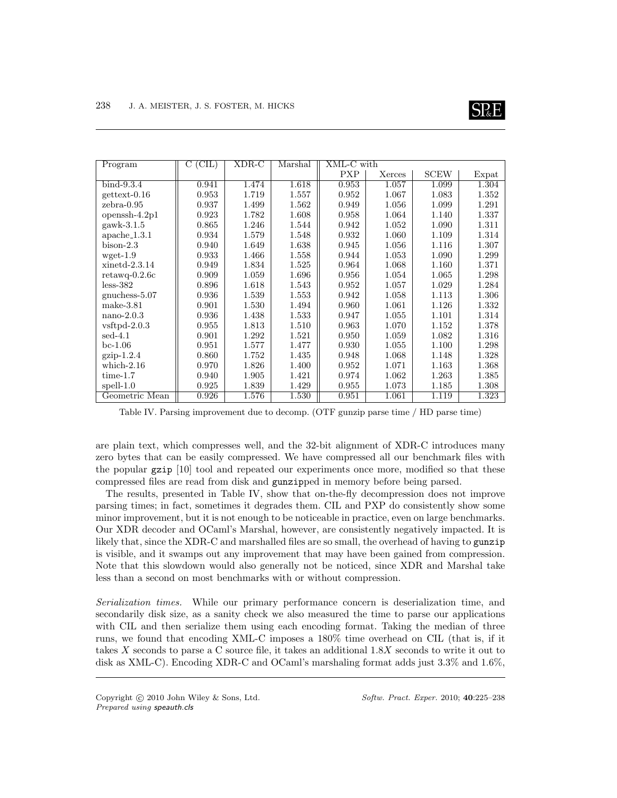

| Program                   | (CIL)<br>С | XDR-C | Marshal | XML-C with |        |             |       |
|---------------------------|------------|-------|---------|------------|--------|-------------|-------|
|                           |            |       |         | <b>PXP</b> | Xerces | <b>SCEW</b> | Expat |
| $bind-9.3.4$              | 0.941      | 1.474 | 1.618   | 0.953      | 1.057  | 1.099       | 1.304 |
| $gettext-0.16$            | 0.953      | 1.719 | 1.557   | 0.952      | 1.067  | 1.083       | 1.352 |
| $zebra-0.95$              | 0.937      | 1.499 | 1.562   | 0.949      | 1.056  | 1.099       | 1.291 |
| openssh- $4.2p1$          | 0.923      | 1.782 | 1.608   | 0.958      | 1.064  | 1.140       | 1.337 |
| $gawk-3.1.5$              | 0.865      | 1.246 | 1.544   | 0.942      | 1.052  | 1.090       | 1.311 |
| $apache_1.3.1$            | 0.934      | 1.579 | 1.548   | 0.932      | 1.060  | 1.109       | 1.314 |
| $bison-2.3$               | 0.940      | 1.649 | 1.638   | 0.945      | 1.056  | 1.116       | 1.307 |
| $wget-1.9$                | 0.933      | 1.466 | 1.558   | 0.944      | 1.053  | 1.090       | 1.299 |
| $xinetd-2.3.14$           | 0.949      | 1.834 | 1.525   | 0.964      | 1.068  | 1.160       | 1.371 |
| $retawq-0.2.6c$           | 0.909      | 1.059 | 1.696   | 0.956      | 1.054  | 1.065       | 1.298 |
| $less-382$                | 0.896      | 1.618 | 1.543   | 0.952      | 1.057  | 1.029       | 1.284 |
| gnuchess- $5.07$          | 0.936      | 1.539 | 1.553   | 0.942      | 1.058  | 1.113       | 1.306 |
| $make-3.81$               | 0.901      | 1.530 | 1.494   | 0.960      | 1.061  | 1.126       | 1.332 |
| $nano-2.0.3$              | 0.936      | 1.438 | 1.533   | 0.947      | 1.055  | 1.101       | 1.314 |
| $v$ sftpd-2.0.3           | 0.955      | 1.813 | 1.510   | 0.963      | 1.070  | 1.152       | 1.378 |
| $\mathrm{sed}\text{-}4.1$ | 0.901      | 1.292 | 1.521   | 0.950      | 1.059  | 1.082       | 1.316 |
| $bc-1.06$                 | 0.951      | 1.577 | 1.477   | 0.930      | 1.055  | 1.100       | 1.298 |
| $gzip-1.2.4$              | 0.860      | 1.752 | 1.435   | 0.948      | 1.068  | 1.148       | 1.328 |
| which- $2.16$             | 0.970      | 1.826 | 1.400   | 0.952      | 1.071  | 1.163       | 1.368 |
| $time-1.7$                | 0.940      | 1.905 | 1.421   | 0.974      | 1.062  | 1.263       | 1.385 |
| $spell-1.0$               | 0.925      | 1.839 | 1.429   | 0.955      | 1.073  | 1.185       | 1.308 |
| Geometric Mean            | 0.926      | 1.576 | 1.530   | 0.951      | 1.061  | 1.119       | 1.323 |

Table IV. Parsing improvement due to decomp. (OTF gunzip parse time / HD parse time)

are plain text, which compresses well, and the 32-bit alignment of XDR-C introduces many zero bytes that can be easily compressed. We have compressed all our benchmark files with the popular gzip [10] tool and repeated our experiments once more, modified so that these compressed files are read from disk and gunzipped in memory before being parsed.

The results, presented in Table IV, show that on-the-fly decompression does not improve parsing times; in fact, sometimes it degrades them. CIL and PXP do consistently show some minor improvement, but it is not enough to be noticeable in practice, even on large benchmarks. Our XDR decoder and OCaml's Marshal, however, are consistently negatively impacted. It is likely that, since the XDR-C and marshalled files are so small, the overhead of having to gunzip is visible, and it swamps out any improvement that may have been gained from compression. Note that this slowdown would also generally not be noticed, since XDR and Marshal take less than a second on most benchmarks with or without compression.

Serialization times. While our primary performance concern is deserialization time, and secondarily disk size, as a sanity check we also measured the time to parse our applications with CIL and then serialize them using each encoding format. Taking the median of three runs, we found that encoding XML-C imposes a 180% time overhead on CIL (that is, if it takes X seconds to parse a C source file, it takes an additional 1.8X seconds to write it out to disk as XML-C). Encoding XDR-C and OCaml's marshaling format adds just 3.3% and 1.6%,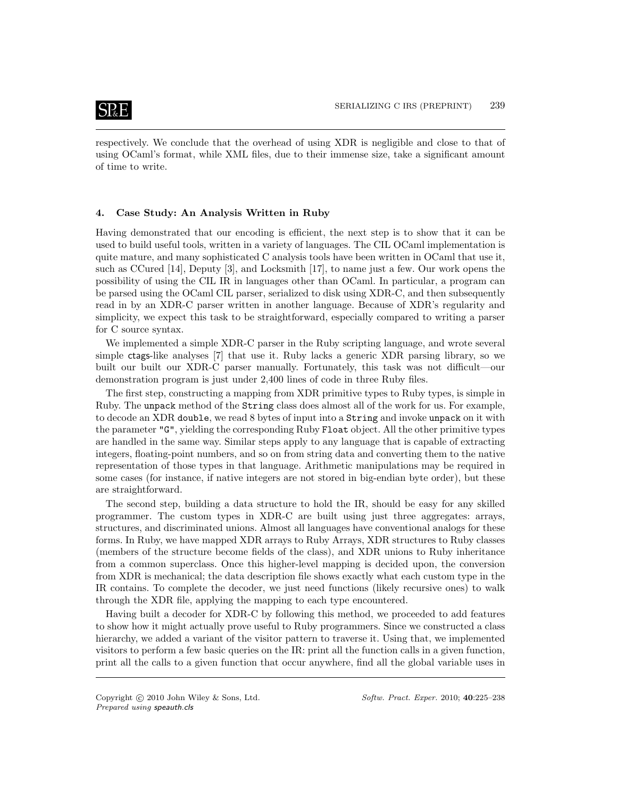respectively. We conclude that the overhead of using XDR is negligible and close to that of using OCaml's format, while XML files, due to their immense size, take a significant amount of time to write.

#### 4. Case Study: An Analysis Written in Ruby

Having demonstrated that our encoding is efficient, the next step is to show that it can be used to build useful tools, written in a variety of languages. The CIL OCaml implementation is quite mature, and many sophisticated C analysis tools have been written in OCaml that use it, such as CCured [14], Deputy [3], and Locksmith [17], to name just a few. Our work opens the possibility of using the CIL IR in languages other than OCaml. In particular, a program can be parsed using the OCaml CIL parser, serialized to disk using XDR-C, and then subsequently read in by an XDR-C parser written in another language. Because of XDR's regularity and simplicity, we expect this task to be straightforward, especially compared to writing a parser for C source syntax.

We implemented a simple XDR-C parser in the Ruby scripting language, and wrote several simple ctags-like analyses [7] that use it. Ruby lacks a generic XDR parsing library, so we built our built our XDR-C parser manually. Fortunately, this task was not difficult—our demonstration program is just under 2,400 lines of code in three Ruby files.

The first step, constructing a mapping from XDR primitive types to Ruby types, is simple in Ruby. The unpack method of the String class does almost all of the work for us. For example, to decode an XDR double, we read 8 bytes of input into a String and invoke unpack on it with the parameter "G", yielding the corresponding Ruby Float object. All the other primitive types are handled in the same way. Similar steps apply to any language that is capable of extracting integers, floating-point numbers, and so on from string data and converting them to the native representation of those types in that language. Arithmetic manipulations may be required in some cases (for instance, if native integers are not stored in big-endian byte order), but these are straightforward.

The second step, building a data structure to hold the IR, should be easy for any skilled programmer. The custom types in XDR-C are built using just three aggregates: arrays, structures, and discriminated unions. Almost all languages have conventional analogs for these forms. In Ruby, we have mapped XDR arrays to Ruby Arrays, XDR structures to Ruby classes (members of the structure become fields of the class), and XDR unions to Ruby inheritance from a common superclass. Once this higher-level mapping is decided upon, the conversion from XDR is mechanical; the data description file shows exactly what each custom type in the IR contains. To complete the decoder, we just need functions (likely recursive ones) to walk through the XDR file, applying the mapping to each type encountered.

Having built a decoder for XDR-C by following this method, we proceeded to add features to show how it might actually prove useful to Ruby programmers. Since we constructed a class hierarchy, we added a variant of the visitor pattern to traverse it. Using that, we implemented visitors to perform a few basic queries on the IR: print all the function calls in a given function, print all the calls to a given function that occur anywhere, find all the global variable uses in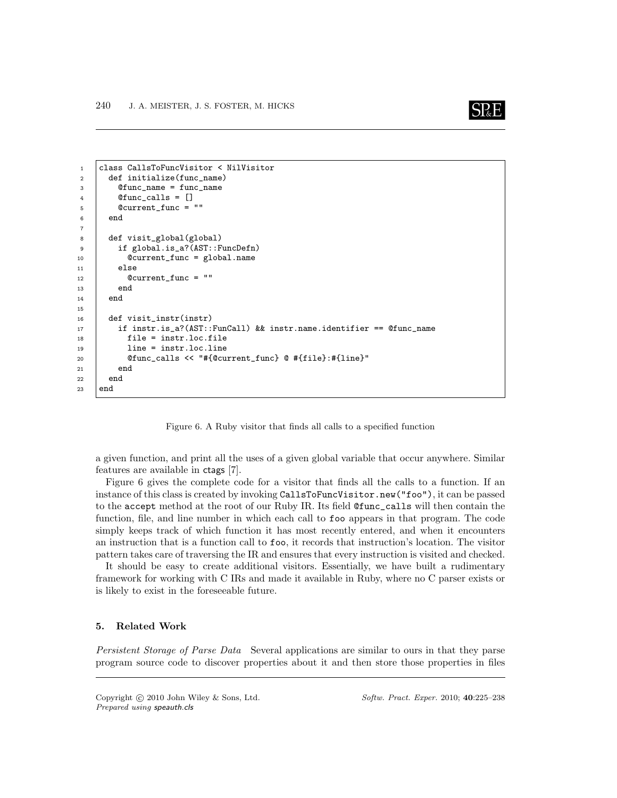

```
1 class CallsToFuncVisitor < NilVisitor
2 def initialize(func_name)
3 @func_name = func_name
4 \quad @func_calls = []5 \mid @current_func = ""
6 end
7
8 def visit_global(global)
9 if global.is_a?(AST::FuncDefn)
10 @current_func = global.name
11 else
12 | Ccurrent_func = ""
13 end
14 end
15
16 def visit_instr(instr)
17 if instr.is_a?(AST::FunCall) && instr.name.identifier == @func_name
18 file = instr.loc.file
19 line = instr.loc.line
20 @func_calls << "#{@current_func} @ #{file}:#{line}"
21 end
22 end
23 end
```
Figure 6. A Ruby visitor that finds all calls to a specified function

a given function, and print all the uses of a given global variable that occur anywhere. Similar features are available in ctags [7].

Figure 6 gives the complete code for a visitor that finds all the calls to a function. If an instance of this class is created by invoking CallsToFuncVisitor.new("foo"), it can be passed to the accept method at the root of our Ruby IR. Its field @func\_calls will then contain the function, file, and line number in which each call to foo appears in that program. The code simply keeps track of which function it has most recently entered, and when it encounters an instruction that is a function call to foo, it records that instruction's location. The visitor pattern takes care of traversing the IR and ensures that every instruction is visited and checked.

It should be easy to create additional visitors. Essentially, we have built a rudimentary framework for working with C IRs and made it available in Ruby, where no C parser exists or is likely to exist in the foreseeable future.

#### 5. Related Work

Persistent Storage of Parse Data Several applications are similar to ours in that they parse program source code to discover properties about it and then store those properties in files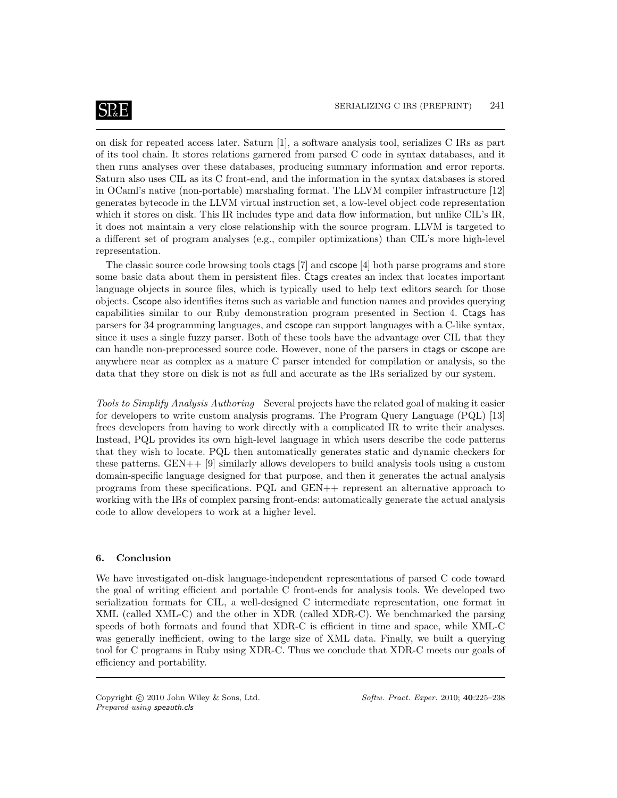## **SP**&E

on disk for repeated access later. Saturn [1], a software analysis tool, serializes C IRs as part of its tool chain. It stores relations garnered from parsed C code in syntax databases, and it then runs analyses over these databases, producing summary information and error reports. Saturn also uses CIL as its C front-end, and the information in the syntax databases is stored in OCaml's native (non-portable) marshaling format. The LLVM compiler infrastructure [12] generates bytecode in the LLVM virtual instruction set, a low-level object code representation which it stores on disk. This IR includes type and data flow information, but unlike CIL's IR, it does not maintain a very close relationship with the source program. LLVM is targeted to a different set of program analyses (e.g., compiler optimizations) than CIL's more high-level representation.

The classic source code browsing tools ctags [7] and cscope [4] both parse programs and store some basic data about them in persistent files. Ctags creates an index that locates important language objects in source files, which is typically used to help text editors search for those objects. Cscope also identifies items such as variable and function names and provides querying capabilities similar to our Ruby demonstration program presented in Section 4. Ctags has parsers for 34 programming languages, and cscope can support languages with a C-like syntax, since it uses a single fuzzy parser. Both of these tools have the advantage over CIL that they can handle non-preprocessed source code. However, none of the parsers in ctags or cscope are anywhere near as complex as a mature C parser intended for compilation or analysis, so the data that they store on disk is not as full and accurate as the IRs serialized by our system.

Tools to Simplify Analysis Authoring Several projects have the related goal of making it easier for developers to write custom analysis programs. The Program Query Language (PQL) [13] frees developers from having to work directly with a complicated IR to write their analyses. Instead, PQL provides its own high-level language in which users describe the code patterns that they wish to locate. PQL then automatically generates static and dynamic checkers for these patterns. GEN++ [9] similarly allows developers to build analysis tools using a custom domain-specific language designed for that purpose, and then it generates the actual analysis programs from these specifications. PQL and GEN++ represent an alternative approach to working with the IRs of complex parsing front-ends: automatically generate the actual analysis code to allow developers to work at a higher level.

#### 6. Conclusion

We have investigated on-disk language-independent representations of parsed C code toward the goal of writing efficient and portable C front-ends for analysis tools. We developed two serialization formats for CIL, a well-designed C intermediate representation, one format in XML (called XML-C) and the other in XDR (called XDR-C). We benchmarked the parsing speeds of both formats and found that XDR-C is efficient in time and space, while XML-C was generally inefficient, owing to the large size of XML data. Finally, we built a querying tool for C programs in Ruby using XDR-C. Thus we conclude that XDR-C meets our goals of efficiency and portability.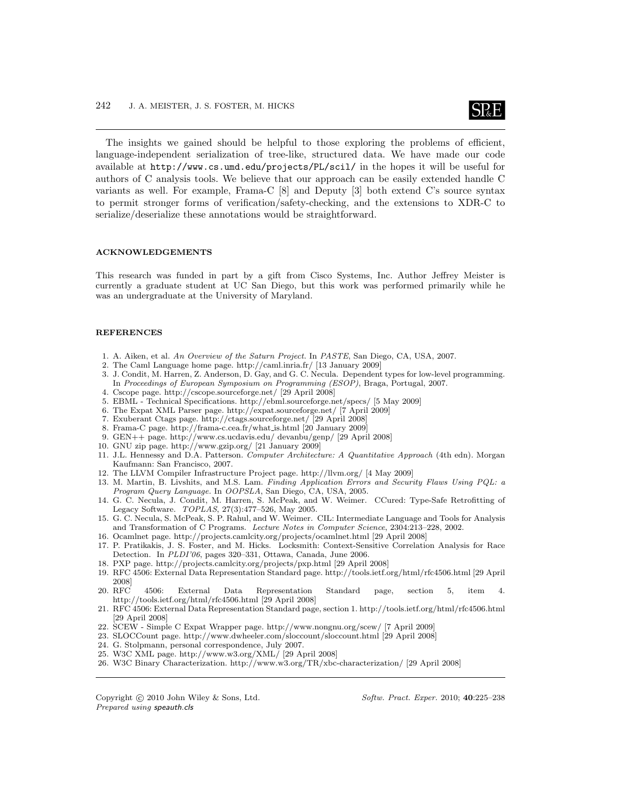

The insights we gained should be helpful to those exploring the problems of efficient, language-independent serialization of tree-like, structured data. We have made our code available at http://www.cs.umd.edu/projects/PL/scil/ in the hopes it will be useful for authors of C analysis tools. We believe that our approach can be easily extended handle C variants as well. For example, Frama-C [8] and Deputy [3] both extend C's source syntax to permit stronger forms of verification/safety-checking, and the extensions to XDR-C to serialize/deserialize these annotations would be straightforward.

#### ACKNOWLEDGEMENTS

This research was funded in part by a gift from Cisco Systems, Inc. Author Jeffrey Meister is currently a graduate student at UC San Diego, but this work was performed primarily while he was an undergraduate at the University of Maryland.

#### **REFERENCES**

- 1. A. Aiken, et al. An Overview of the Saturn Project. In PASTE, San Diego, CA, USA, 2007.
- 2. The Caml Language home page. http://caml.inria.fr/ [13 January 2009]
- 3. J. Condit, M. Harren, Z. Anderson, D. Gay, and G. C. Necula. Dependent types for low-level programming. In Proceedings of European Symposium on Programming (ESOP), Braga, Portugal, 2007.
- 4. Cscope page. http://cscope.sourceforge.net/ [29 April 2008]
- 5. EBML Technical Specifications. http://ebml.sourceforge.net/specs/ [5 May 2009]
- 6. The Expat XML Parser page. http://expat.sourceforge.net/ [7 April 2009]
- 7. Exuberant Ctags page. http://ctags.sourceforge.net/ [29 April 2008]
- 8. Frama-C page. http://frama-c.cea.fr/what is.html [20 January 2009]
- 9. GEN++ page. http://www.cs.ucdavis.edu/ devanbu/genp/ [29 April 2008]
- 10. GNU zip page. http://www.gzip.org/ [21 January 2009]
- 11. J.L. Hennessy and D.A. Patterson. Computer Architecture: A Quantitative Approach (4th edn). Morgan Kaufmann: San Francisco, 2007.
- 12. The LLVM Compiler Infrastructure Project page. http://llvm.org/ [4 May 2009]
- 13. M. Martin, B. Livshits, and M.S. Lam. Finding Application Errors and Security Flaws Using PQL: a Program Query Language. In OOPSLA, San Diego, CA, USA, 2005.
- 14. G. C. Necula, J. Condit, M. Harren, S. McPeak, and W. Weimer. CCured: Type-Safe Retrofitting of Legacy Software. TOPLAS, 27(3):477–526, May 2005.
- 15. G. C. Necula, S. McPeak, S. P. Rahul, and W. Weimer. CIL: Intermediate Language and Tools for Analysis and Transformation of C Programs. Lecture Notes in Computer Science, 2304:213–228, 2002.
- 16. Ocamlnet page. http://projects.camlcity.org/projects/ocamlnet.html [29 April 2008]
- 17. P. Pratikakis, J. S. Foster, and M. Hicks. Locksmith: Context-Sensitive Correlation Analysis for Race Detection. In PLDI'06, pages 320–331, Ottawa, Canada, June 2006.
- 18. PXP page. http://projects.camlcity.org/projects/pxp.html [29 April 2008]
- 19. RFC 4506: External Data Representation Standard page. http://tools.ietf.org/html/rfc4506.html [29 April 2008]
- 20. RFC 4506: External Data Representation Standard page, section 5, item 4. http://tools.ietf.org/html/rfc4506.html [29 April 2008]
- 21. RFC 4506: External Data Representation Standard page, section 1. http://tools.ietf.org/html/rfc4506.html [29 April 2008]
- 22. SCEW Simple C Expat Wrapper page. http://www.nongnu.org/scew/ [7 April 2009]
- 23. SLOCCount page. http://www.dwheeler.com/sloccount/sloccount.html [29 April 2008]
- 24. G. Stolpmann, personal correspondence, July 2007.
- 25. W3C XML page. http://www.w3.org/XML/ [29 April 2008]
- 26. W3C Binary Characterization. http://www.w3.org/TR/xbc-characterization/ [29 April 2008]